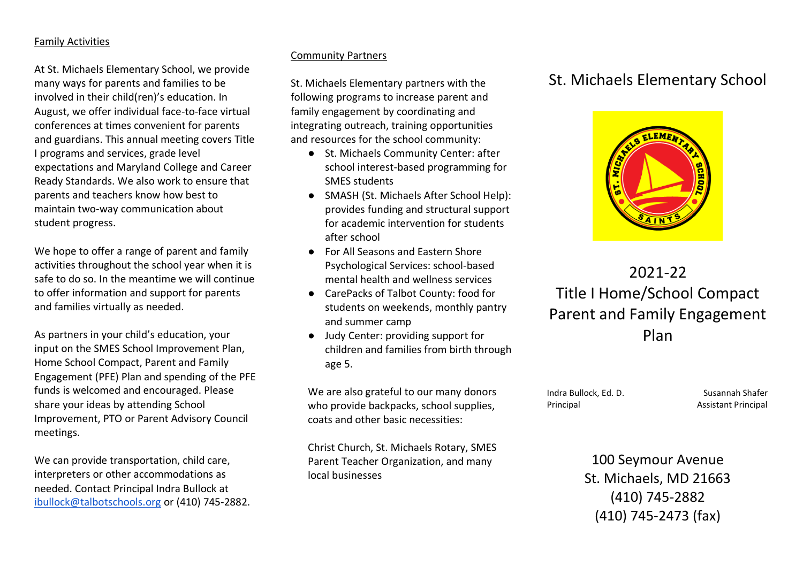### Family Activities

At St. Michaels Elementary School, we provide many ways for parents and families to be involved in their child(ren)'s education. In August, we offer individual face-to-face virtual conferences at times convenient for parents and guardians. This annual meeting covers Title I programs and services, grade level expectations and Maryland College and Career Ready Standards. We also work to ensure that parents and teachers know how best to maintain two-way communication about student progress.

We hope to offer a range of parent and family activities throughout the school year when it is safe to do so. In the meantime we will continue to offer information and support for parents and families virtually as needed.

As partners in your child's education, your input on the SMES School Improvement Plan, Home School Compact, Parent and Family Engagement (PFE) Plan and spending of the PFE funds is welcomed and encouraged. Please share your ideas by attending School Improvement, PTO or Parent Advisory Council meetings.

We can provide transportation, child care, interpreters or other accommodations as needed. Contact Principal Indra Bullock at [ibullock@talbotschools.org](mailto:ibullock@talbotschools.org) or (410) 745-2882.

### Community Partners

St. Michaels Elementary partners with the following programs to increase parent and family engagement by coordinating and integrating outreach, training opportunities and resources for the school community:

- St. Michaels Community Center: after school interest-based programming for SMES students
- SMASH (St. Michaels After School Help): provides funding and structural support for academic intervention for students after school
- For All Seasons and Eastern Shore Psychological Services: school-based mental health and wellness services
- CarePacks of Talbot County: food for students on weekends, monthly pantry and summer camp
- Judy Center: providing support for children and families from birth through age 5.

We are also grateful to our many donors who provide backpacks, school supplies, coats and other basic necessities:

Christ Church, St. Michaels Rotary, SMES Parent Teacher Organization, and many local businesses

## St. Michaels Elementary School



2021-22 Title I Home/School Compact Parent and Family Engagement Plan

Indra Bullock, Ed. D. Susannah Shafer Principal **Assistant Principal** 

100 Seymour Avenue St. Michaels, MD 21663 (410) 745-2882 (410) 745-2473 (fax)